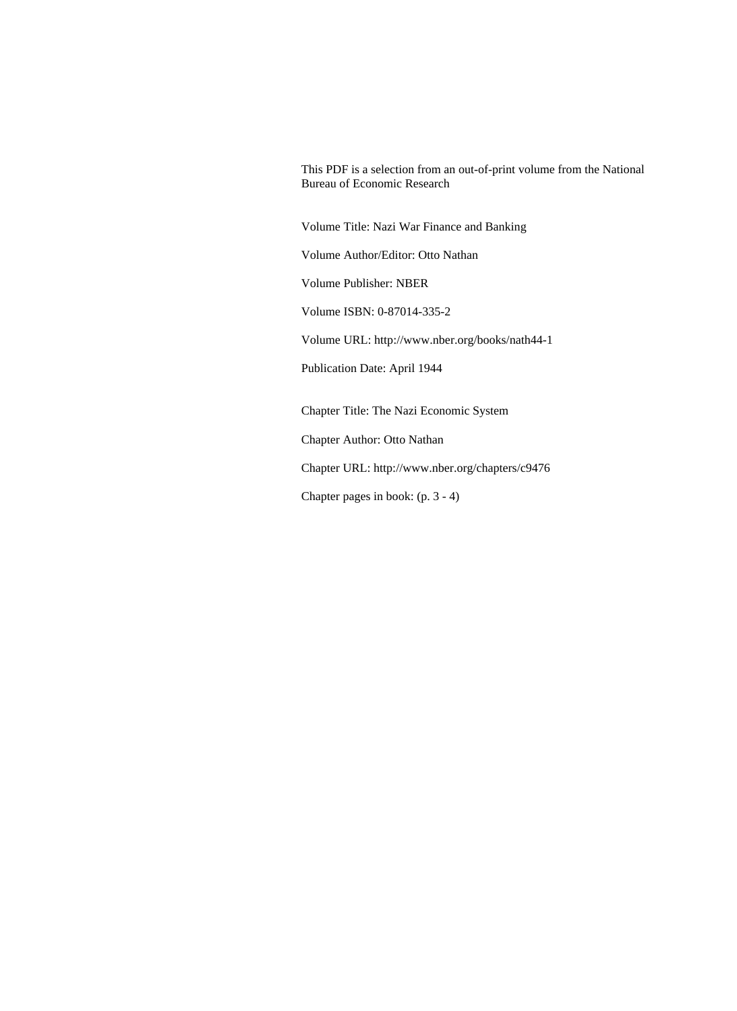This PDF is a selection from an out-of-print volume from the National Bureau of Economic Research

Volume Title: Nazi War Finance and Banking

Volume Author/Editor: Otto Nathan

Volume Publisher: NBER

Volume ISBN: 0-87014-335-2

Volume URL: http://www.nber.org/books/nath44-1

Publication Date: April 1944

Chapter Title: The Nazi Economic System

Chapter Author: Otto Nathan

Chapter URL: http://www.nber.org/chapters/c9476

Chapter pages in book: (p. 3 - 4)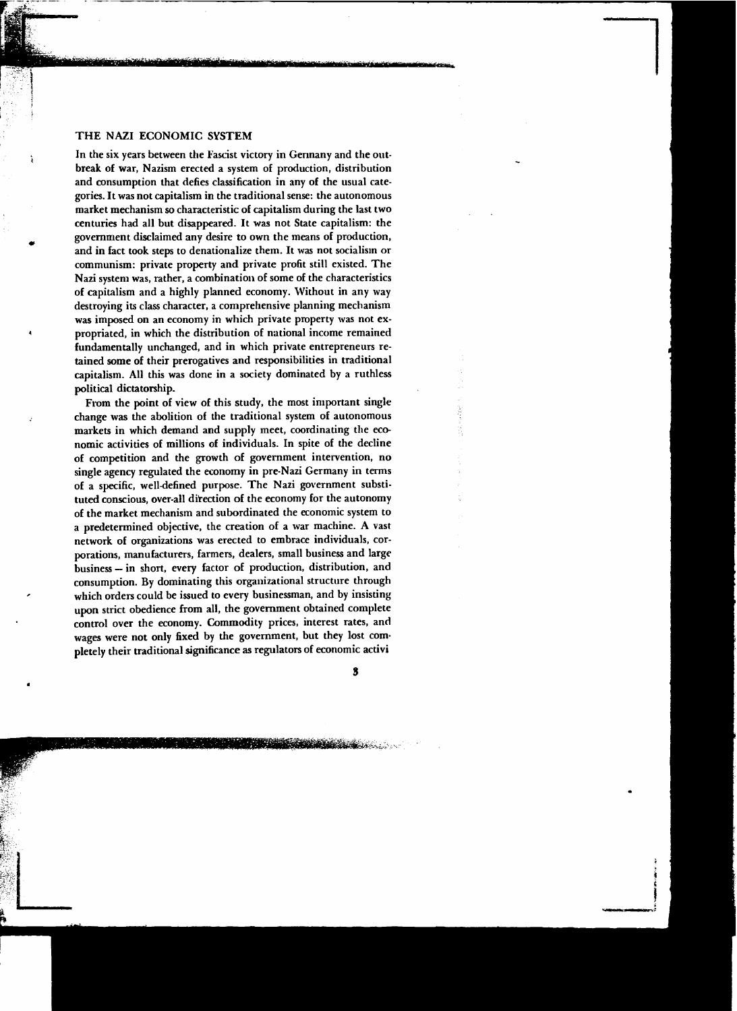## THE NAZI ECONOMIC SYSTEM

ì

In the six years between the Fascist victory in Germany and the outbreak of war, Nazism erected a system of production, distribution and consumption that defies classification in any of the usual categories. It was not capitalism in the traditional sense: the autonomous market mechanism so characteristic of capitalism during the last two centuries had all but disappeared. It was not State capitalism: the government disclaimed any desire to own the means of production, and in fact took steps to denationalize them. It was not socialism or communism: private property and private profit still existed. The Nazi system was, rather, a combination of some of the characteristics of capitalism and a highly planned economy. Without in any way destroying its class character, a comprehensive planning mechanism was imposed on an economy in which private property was not expropriated, in which the distribution of national income remained fundamentally unchanged, and in which private entrepreneurs retained some of their prerogatives and responsibilities in traditional capitalism. All this was done in a society dominated by a ruthless political dictatorship.

From the point of view of this study, the most important single change was the abolition of the traditional system of autonomous markets in which demand and supply meet, coordinating the economic activities of millions of individuals. In spite of the decline of competition and the growth of government intervention, no single agency regulated the economy in pre-Nazi Germany in terms of a specific, well-defined purpose. The Nazi government substituted conscious, over-all direction of the economy for the autonomy of the market mechanism and subordinated the economic system to a predetermined objective, the creation of a war machine. A vast network of organizations was erected to embrace individuals, corporations, manufacturers, farmers, dealers, small business and large business - in short, every factor of production, distribution, and consumption. By dominating this organizational structure through which orders could be issued to every businessman, and by insisting upon strict obedience from all, the government obtained complete control over the economy. Commodity prices, interest rates, and wages were not only fixed by the government, but they lost completely their traditional significance as regulators of economic activi

3